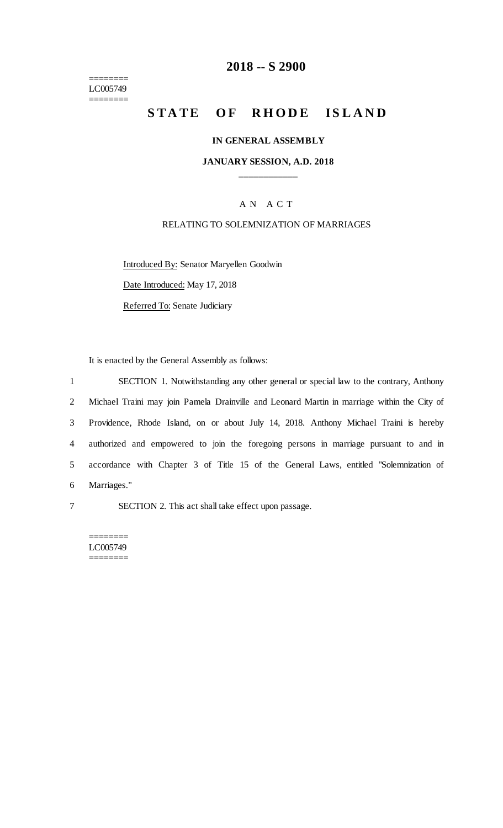======== LC005749 ========

## **2018 -- S 2900**

# STATE OF RHODE ISLAND

#### **IN GENERAL ASSEMBLY**

### **JANUARY SESSION, A.D. 2018 \_\_\_\_\_\_\_\_\_\_\_\_**

### A N A C T

#### RELATING TO SOLEMNIZATION OF MARRIAGES

Introduced By: Senator Maryellen Goodwin Date Introduced: May 17, 2018

Referred To: Senate Judiciary

It is enacted by the General Assembly as follows:

 SECTION 1. Notwithstanding any other general or special law to the contrary, Anthony Michael Traini may join Pamela Drainville and Leonard Martin in marriage within the City of Providence, Rhode Island, on or about July 14, 2018. Anthony Michael Traini is hereby authorized and empowered to join the foregoing persons in marriage pursuant to and in accordance with Chapter 3 of Title 15 of the General Laws, entitled "Solemnization of Marriages."

7 SECTION 2. This act shall take effect upon passage.

======== LC005749 ========